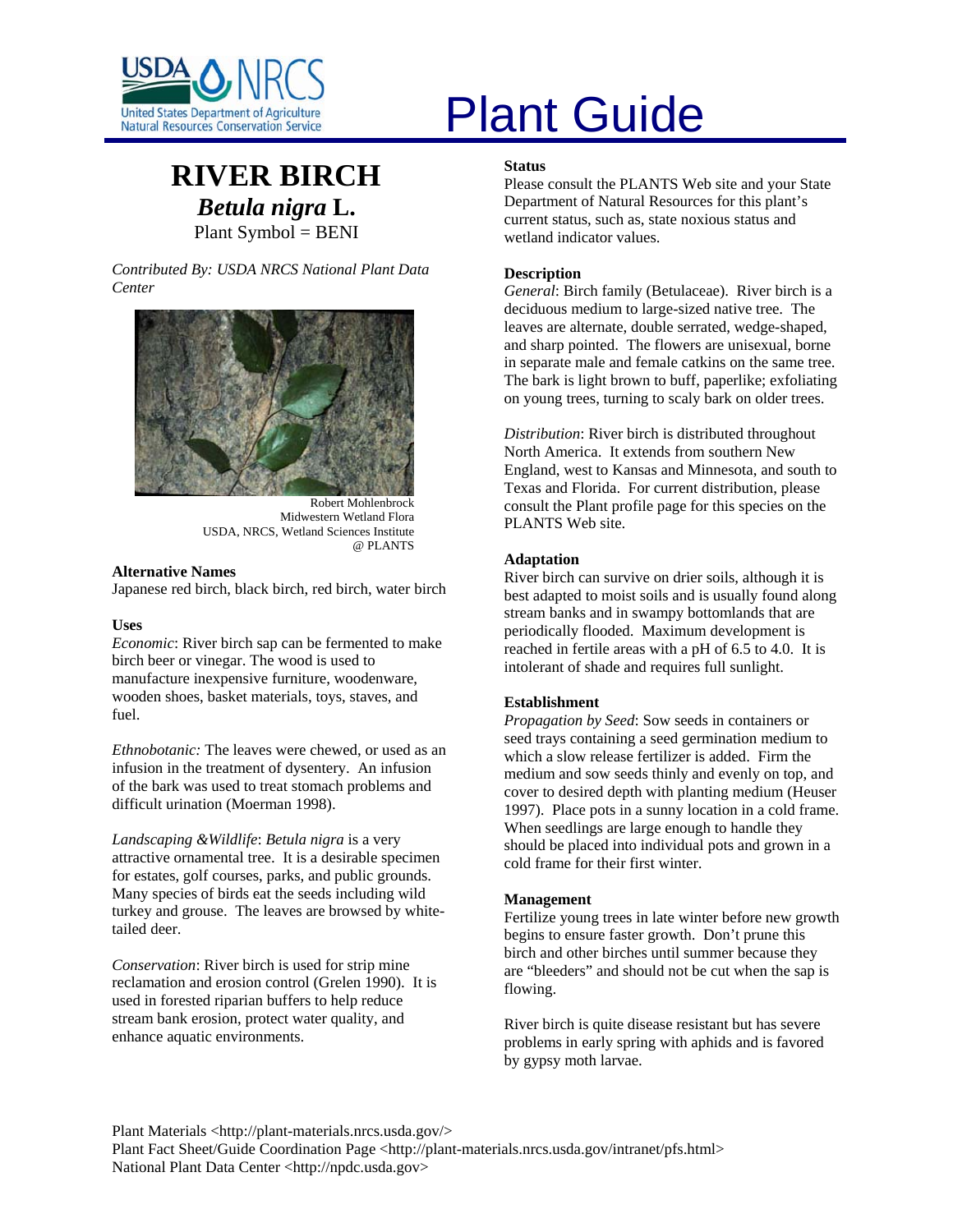

# **RIVER BIRCH** *Betula nigra* **L.** Plant Symbol = BENI

*Contributed By: USDA NRCS National Plant Data Center* 



Robert Mohlenbrock Midwestern Wetland Flora USDA, NRCS, Wetland Sciences Institute @ PLANTS

#### **Alternative Names**

Japanese red birch, black birch, red birch, water birch

#### **Uses**

*Economic*: River birch sap can be fermented to make birch beer or vinegar. The wood is used to manufacture inexpensive furniture, woodenware, wooden shoes, basket materials, toys, staves, and fuel.

*Ethnobotanic:* The leaves were chewed, or used as an infusion in the treatment of dysentery. An infusion of the bark was used to treat stomach problems and difficult urination (Moerman 1998).

*Landscaping &Wildlife*: *Betula nigra* is a very attractive ornamental tree. It is a desirable specimen for estates, golf courses, parks, and public grounds. Many species of birds eat the seeds including wild turkey and grouse. The leaves are browsed by whitetailed deer.

*Conservation*: River birch is used for strip mine reclamation and erosion control (Grelen 1990). It is used in forested riparian buffers to help reduce stream bank erosion, protect water quality, and enhance aquatic environments.

# United States Department of Agriculture<br>Natural Resources Conservation Service

#### **Status**

Please consult the PLANTS Web site and your State Department of Natural Resources for this plant's current status, such as, state noxious status and wetland indicator values.

# **Description**

*General*: Birch family (Betulaceae). River birch is a deciduous medium to large-sized native tree. The leaves are alternate, double serrated, wedge-shaped, and sharp pointed. The flowers are unisexual, borne in separate male and female catkins on the same tree. The bark is light brown to buff, paperlike; exfoliating on young trees, turning to scaly bark on older trees.

*Distribution*: River birch is distributed throughout North America. It extends from southern New England, west to Kansas and Minnesota, and south to Texas and Florida. For current distribution, please consult the Plant profile page for this species on the PLANTS Web site.

# **Adaptation**

River birch can survive on drier soils, although it is best adapted to moist soils and is usually found along stream banks and in swampy bottomlands that are periodically flooded. Maximum development is reached in fertile areas with a pH of 6.5 to 4.0. It is intolerant of shade and requires full sunlight.

# **Establishment**

*Propagation by Seed*: Sow seeds in containers or seed trays containing a seed germination medium to which a slow release fertilizer is added. Firm the medium and sow seeds thinly and evenly on top, and cover to desired depth with planting medium (Heuser 1997). Place pots in a sunny location in a cold frame. When seedlings are large enough to handle they should be placed into individual pots and grown in a cold frame for their first winter.

# **Management**

Fertilize young trees in late winter before new growth begins to ensure faster growth. Don't prune this birch and other birches until summer because they are "bleeders" and should not be cut when the sap is flowing.

River birch is quite disease resistant but has severe problems in early spring with aphids and is favored by gypsy moth larvae.

Plant Materials <http://plant-materials.nrcs.usda.gov/>

Plant Fact Sheet/Guide Coordination Page <http://plant-materials.nrcs.usda.gov/intranet/pfs.html> National Plant Data Center <http://npdc.usda.gov>